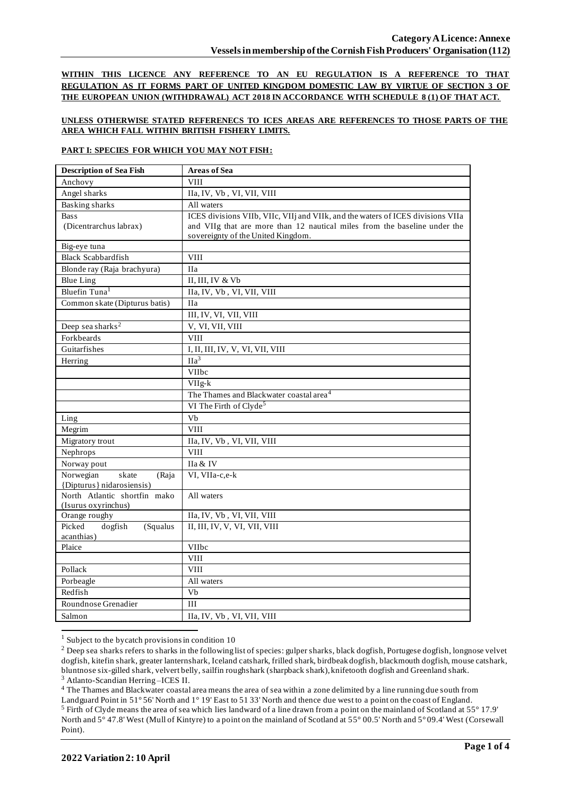**WITHIN THIS LICENCE ANY REFERENCE TO AN EU REGULATION IS A REFERENCE TO THAT REGULATION AS IT FORMS PART OF UNITED KINGDOM DOMESTIC LAW BY VIRTUE OF SECTION 3 OF THE EUROPEAN UNION (WITHDRAWAL) ACT 2018 IN ACCORDANCE WITH SCHEDULE 8 (1) OF THAT ACT.**

## **UNLESS OTHERWISE STATED REFERENECS TO ICES AREAS ARE REFERENCES TO THOSE PARTS OF THE AREA WHICH FALL WITHIN BRITISH FISHERY LIMITS.**

### **PART I: SPECIES FOR WHICH YOU MAY NOT FISH:**

| <b>Description of Sea Fish</b>    | <b>Areas of Sea</b>                                                             |
|-----------------------------------|---------------------------------------------------------------------------------|
| Anchovy                           | <b>VIII</b>                                                                     |
| Angel sharks                      | IIa, IV, Vb, VI, VII, VIII                                                      |
| <b>Basking sharks</b>             | All waters                                                                      |
| <b>Bass</b>                       | ICES divisions VIIb, VIIc, VIIj and VIIk, and the waters of ICES divisions VIIa |
| (Dicentrarchus labrax)            | and VIIg that are more than 12 nautical miles from the baseline under the       |
|                                   | sovereignty of the United Kingdom.                                              |
| Big-eye tuna                      |                                                                                 |
| <b>Black Scabbardfish</b>         | <b>VIII</b>                                                                     |
| Blonde ray (Raja brachyura)       | IIa                                                                             |
| <b>Blue Ling</b>                  | II, III, IV & Vb                                                                |
| Bluefin Tuna <sup>1</sup>         | IIa, IV, Vb, VI, VII, VIII                                                      |
| Common skate (Dipturus batis)     | <b>IIa</b>                                                                      |
|                                   | III, IV, VI, VII, VIII                                                          |
| Deep sea sharks <sup>2</sup>      | V, VI, VII, VIII                                                                |
| Forkbeards                        | <b>VIII</b>                                                                     |
| Guitarfishes                      | I, II, III, IV, V, VI, VII, VIII                                                |
| Herring                           | $\overline{\text{IIa}^3}$                                                       |
|                                   | VIIbc                                                                           |
|                                   | VIIg-k                                                                          |
|                                   | The Thames and Blackwater coastal area <sup>4</sup>                             |
|                                   | VI The Firth of Clyde <sup>5</sup>                                              |
| Ling                              | Vb                                                                              |
| Megrim                            | <b>VIII</b>                                                                     |
| Migratory trout                   | IIa, IV, Vb, VI, VII, VIII                                                      |
| Nephrops                          | <b>VIII</b>                                                                     |
| Norway pout                       | IIa & IV                                                                        |
| Norwegian<br>skate<br>(Raja       | VI, VIIa-c,e-k                                                                  |
| {Dipturus} nidarosiensis}         |                                                                                 |
| North Atlantic shortfin mako      | All waters                                                                      |
| (Isurus oxyrinchus)               |                                                                                 |
| Orange roughy<br>Picked           | IIa, IV, Vb, VI, VII, VIII                                                      |
| dogfish<br>(Squalus<br>acanthias) | II, III, IV, V, VI, VII, VIII                                                   |
| Plaice                            | VIIbc                                                                           |
|                                   | <b>VIII</b>                                                                     |
| Pollack                           | <b>VIII</b>                                                                     |
| Porbeagle                         | All waters                                                                      |
| Redfish                           | $\overline{Vb}$                                                                 |
| Roundnose Grenadier               | III                                                                             |
| Salmon                            | IIa, IV, Vb, VI, VII, VIII                                                      |
|                                   |                                                                                 |

 $1$  Subject to the bycatch provisions in condition 10

<sup>4</sup> The Thames and Blackwater coastal area means the area of sea within a zone delimited by a line running due south from

<sup>&</sup>lt;sup>2</sup> Deep sea sharks refers to sharks in the following list of species: gulper sharks, black dogfish, Portugese dogfish, longnose velvet dogfish, kitefin shark, greater lanternshark, Iceland catshark, frilled shark, birdbeak dogfish, blackmouth dogfish, mouse catshark, bluntnose six-gilled shark, velvert belly, sailfin roughshark (sharpback shark), knifetooth dogfish and Greenland shark. <sup>3</sup> Atlanto-Scandian Herring –ICES II.

Landguard Point in 51° 56' North and 1° 19' East to 51 33' North and thence due west to a point on the coast of England. <sup>5</sup> Firth of Clyde means the area of sea which lies landward of a line drawn from a point on the mainland of Scotland at 55° 17.9' North and 5° 47.8' West (Mull of Kintyre) to a point on the mainland of Scotland at 55° 00.5' North and 5° 09.4' West (Corsewall Point).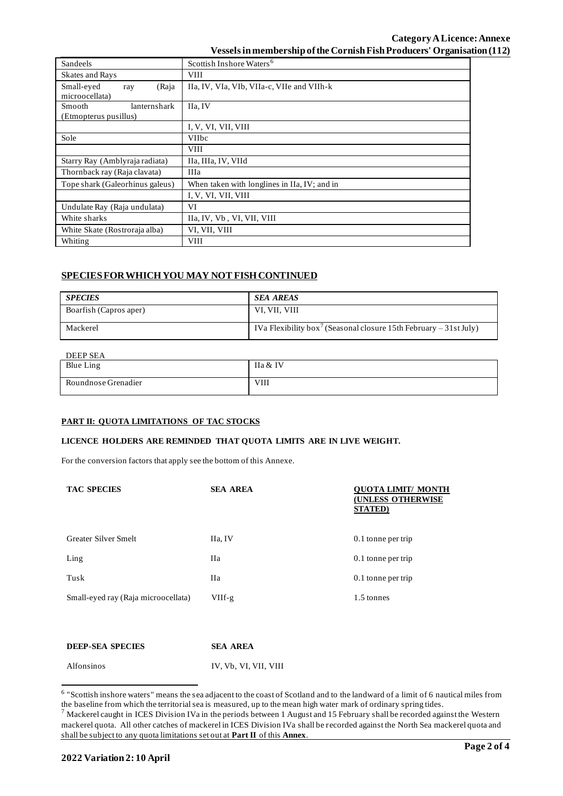## **Category ALicence: Annexe Vesselsin membership of the Cornish Fish Producers' Organisation (112)**

| Sandeels                                               | Scottish Inshore Waters <sup>6</sup>         |
|--------------------------------------------------------|----------------------------------------------|
| <b>Skates and Rays</b>                                 | <b>VIII</b>                                  |
| Small-eyed<br>(Raja<br>ray<br>microocellata)           | IIa, IV, VIa, VIb, VIIa-c, VIIe and VIIh-k   |
| <b>Smooth</b><br>lanternshark<br>(Etmopterus pusillus) | IIa, IV                                      |
|                                                        | I, V, VI, VII, VIII                          |
| Sole                                                   | <b>VIIbc</b>                                 |
|                                                        | <b>VIII</b>                                  |
| Starry Ray (Amblyraja radiata)                         | IIa, IIIa, IV, VIId                          |
| Thornback ray (Raja clavata)                           | IIIa                                         |
| Tope shark (Galeorhinus galeus)                        | When taken with longlines in IIa, IV; and in |
|                                                        | I, V, VI, VII, VIII                          |
| Undulate Ray (Raja undulata)                           | VI                                           |
| White sharks                                           | IIa, IV, Vb, VI, VII, VIII                   |
| White Skate (Rostroraja alba)                          | VI, VII, VIII                                |
| Whiting                                                | <b>VIII</b>                                  |

# **SPECIES FOR WHICH YOU MAY NOT FISH CONTINUED**

| <b>SPECIES</b>         | <b>SEA AREAS</b>                                                              |
|------------------------|-------------------------------------------------------------------------------|
| Boarfish (Capros aper) | VI, VII, VIII                                                                 |
| Mackerel               | IVa Flexibility box <sup>7</sup> (Seasonal closure 15th February – 31st July) |

### DEEP SEA

| <b>DELL OLIT</b>    |          |
|---------------------|----------|
| <b>Blue Ling</b>    | IIa & IV |
| Roundnose Grenadier | VIII     |

#### **PART II: QUOTA LIMITATIONS OF TAC STOCKS**

#### **LICENCE HOLDERS ARE REMINDED THAT QUOTA LIMITS ARE IN LIVE WEIGHT.**

For the conversion factors that apply see the bottom of this Annexe.

| <b>TAC SPECIES</b>                  | <b>SEA AREA</b> | <b>OUOTA LIMIT/ MONTH</b><br><b>(UNLESS OTHERWISE</b><br><b>STATED</b> ) |
|-------------------------------------|-----------------|--------------------------------------------------------------------------|
| Greater Silver Smelt                | IIa, IV         | $0.1$ tonne per trip                                                     |
| Ling                                | Ha              | $0.1$ tonne per trip                                                     |
| Tusk                                | <b>IIa</b>      | 0.1 tonne per trip                                                       |
| Small-eyed ray (Raja microocellata) | $VIIf-g$        | 1.5 tonnes                                                               |
|                                     |                 |                                                                          |
|                                     |                 |                                                                          |

| <b>DEEP-SEA SPECIES</b> | <b>SEA AREA</b>       |
|-------------------------|-----------------------|
| <b>Alfonsinos</b>       | IV. Vb. VI. VII. VIII |

<sup>&</sup>lt;sup>6</sup> "Scottish inshore waters" means the sea adjacent to the coast of Scotland and to the landward of a limit of 6 nautical miles from the baseline from which the territorial sea is measured, up to the mean high water mark of ordinary spring tides.

 $^7$  Mackerel caught in ICES Division IVa in the periods between 1 August and 15 February shall be recorded against the Western mackerel quota. All other catches of mackerel in ICES Division IVa shall be recorded against the North Sea mackerel quota and shall be subject to any quota limitations set out at **Part II** of this **Annex**.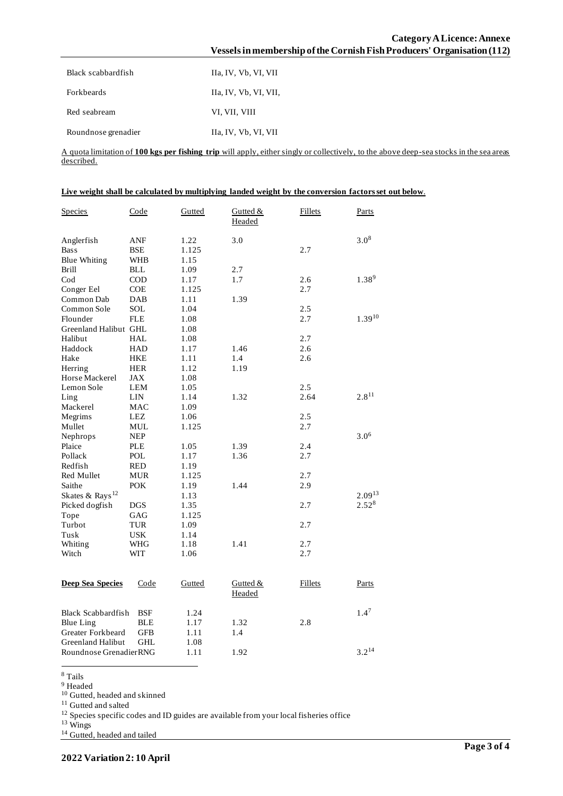| Category A Licence: Annexe                                              |
|-------------------------------------------------------------------------|
| Vessels in membership of the Cornish Fish Producers' Organisation (112) |
|                                                                         |

| Black scabbardfish  | Ha, IV, Vb, VI, VII   |
|---------------------|-----------------------|
| <b>Forkbeards</b>   | IIa, IV, Vb, VI, VII, |
| Red seabream        | VI, VII, VIII         |
| Roundnose grenadier | IIa, IV, Vb, VI, VII  |

A quota limitation of **100 kgs per fishing trip** will apply, either singly or collectively, to the above deep-sea stocks in the sea areas described.

| Live weight shall be calculated by multiplying landed weight by the conversion factors set out below. |  |  |
|-------------------------------------------------------------------------------------------------------|--|--|
|                                                                                                       |  |  |

| $3.0^{8}$<br>3.0<br>Anglerfish<br>ANF<br>1.22<br>2.7<br><b>Bass</b><br><b>BSE</b><br>1.125<br>Blue Whiting<br>WHB<br>1.15<br><b>BLL</b><br>2.7<br>Brill<br>1.09<br>$1.38^{9}$<br>$\mathrm{Cod}$<br><b>COD</b><br>1.17<br>1.7<br>2.6<br>2.7<br><b>COE</b><br>Conger Eel<br>1.125<br>Common Dab<br>DAB<br>1.11<br>1.39<br>2.5<br>Common Sole<br><b>SOL</b><br>1.04<br>$1.39^{10}$<br>Flounder<br><b>FLE</b><br>1.08<br>2.7<br>Greenland Halibut GHL<br>1.08<br>Halibut<br>HAL<br>1.08<br>2.7<br>Haddock<br><b>HAD</b><br>1.17<br>2.6<br>1.46<br>Hake<br>1.11<br>1.4<br>2.6<br>HKE<br>Herring<br><b>HER</b><br>1.12<br>1.19<br>Horse Mackerel<br>JAX<br>1.08<br>Lemon Sole<br>2.5<br>LEM<br>1.05<br>$2.8^{11}$<br>2.64<br>Ling<br>LIN<br>1.14<br>1.32<br>Mackerel<br><b>MAC</b><br>1.09<br>Megrims<br>LEZ<br>2.5<br>1.06<br>2.7<br>Mullet<br>MUL<br>1.125<br>$3.0^{6}$<br><b>NEP</b><br>Nephrops<br>Plaice<br><b>PLE</b><br>1.05<br>1.39<br>2.4<br>1.36<br>2.7<br>Pollack<br>POL<br>1.17 |
|---------------------------------------------------------------------------------------------------------------------------------------------------------------------------------------------------------------------------------------------------------------------------------------------------------------------------------------------------------------------------------------------------------------------------------------------------------------------------------------------------------------------------------------------------------------------------------------------------------------------------------------------------------------------------------------------------------------------------------------------------------------------------------------------------------------------------------------------------------------------------------------------------------------------------------------------------------------------------------------|
|                                                                                                                                                                                                                                                                                                                                                                                                                                                                                                                                                                                                                                                                                                                                                                                                                                                                                                                                                                                       |
|                                                                                                                                                                                                                                                                                                                                                                                                                                                                                                                                                                                                                                                                                                                                                                                                                                                                                                                                                                                       |
|                                                                                                                                                                                                                                                                                                                                                                                                                                                                                                                                                                                                                                                                                                                                                                                                                                                                                                                                                                                       |
|                                                                                                                                                                                                                                                                                                                                                                                                                                                                                                                                                                                                                                                                                                                                                                                                                                                                                                                                                                                       |
|                                                                                                                                                                                                                                                                                                                                                                                                                                                                                                                                                                                                                                                                                                                                                                                                                                                                                                                                                                                       |
|                                                                                                                                                                                                                                                                                                                                                                                                                                                                                                                                                                                                                                                                                                                                                                                                                                                                                                                                                                                       |
|                                                                                                                                                                                                                                                                                                                                                                                                                                                                                                                                                                                                                                                                                                                                                                                                                                                                                                                                                                                       |
|                                                                                                                                                                                                                                                                                                                                                                                                                                                                                                                                                                                                                                                                                                                                                                                                                                                                                                                                                                                       |
|                                                                                                                                                                                                                                                                                                                                                                                                                                                                                                                                                                                                                                                                                                                                                                                                                                                                                                                                                                                       |
|                                                                                                                                                                                                                                                                                                                                                                                                                                                                                                                                                                                                                                                                                                                                                                                                                                                                                                                                                                                       |
|                                                                                                                                                                                                                                                                                                                                                                                                                                                                                                                                                                                                                                                                                                                                                                                                                                                                                                                                                                                       |
|                                                                                                                                                                                                                                                                                                                                                                                                                                                                                                                                                                                                                                                                                                                                                                                                                                                                                                                                                                                       |
|                                                                                                                                                                                                                                                                                                                                                                                                                                                                                                                                                                                                                                                                                                                                                                                                                                                                                                                                                                                       |
|                                                                                                                                                                                                                                                                                                                                                                                                                                                                                                                                                                                                                                                                                                                                                                                                                                                                                                                                                                                       |
|                                                                                                                                                                                                                                                                                                                                                                                                                                                                                                                                                                                                                                                                                                                                                                                                                                                                                                                                                                                       |
|                                                                                                                                                                                                                                                                                                                                                                                                                                                                                                                                                                                                                                                                                                                                                                                                                                                                                                                                                                                       |
|                                                                                                                                                                                                                                                                                                                                                                                                                                                                                                                                                                                                                                                                                                                                                                                                                                                                                                                                                                                       |
|                                                                                                                                                                                                                                                                                                                                                                                                                                                                                                                                                                                                                                                                                                                                                                                                                                                                                                                                                                                       |
|                                                                                                                                                                                                                                                                                                                                                                                                                                                                                                                                                                                                                                                                                                                                                                                                                                                                                                                                                                                       |
|                                                                                                                                                                                                                                                                                                                                                                                                                                                                                                                                                                                                                                                                                                                                                                                                                                                                                                                                                                                       |
|                                                                                                                                                                                                                                                                                                                                                                                                                                                                                                                                                                                                                                                                                                                                                                                                                                                                                                                                                                                       |
|                                                                                                                                                                                                                                                                                                                                                                                                                                                                                                                                                                                                                                                                                                                                                                                                                                                                                                                                                                                       |
|                                                                                                                                                                                                                                                                                                                                                                                                                                                                                                                                                                                                                                                                                                                                                                                                                                                                                                                                                                                       |
| <b>RED</b><br>Redfish<br>1.19                                                                                                                                                                                                                                                                                                                                                                                                                                                                                                                                                                                                                                                                                                                                                                                                                                                                                                                                                         |
| <b>Red Mullet</b><br>2.7<br><b>MUR</b><br>1.125                                                                                                                                                                                                                                                                                                                                                                                                                                                                                                                                                                                                                                                                                                                                                                                                                                                                                                                                       |
| 1.44<br>Saithe<br><b>POK</b><br>1.19<br>2.9                                                                                                                                                                                                                                                                                                                                                                                                                                                                                                                                                                                                                                                                                                                                                                                                                                                                                                                                           |
| $2.09^{13}$<br>Skates & Rays <sup>12</sup><br>1.13                                                                                                                                                                                                                                                                                                                                                                                                                                                                                                                                                                                                                                                                                                                                                                                                                                                                                                                                    |
| $2.52^{8}$<br>2.7<br>Picked dogfish<br>DGS<br>1.35                                                                                                                                                                                                                                                                                                                                                                                                                                                                                                                                                                                                                                                                                                                                                                                                                                                                                                                                    |
| 1.125<br>Tope<br>GAG                                                                                                                                                                                                                                                                                                                                                                                                                                                                                                                                                                                                                                                                                                                                                                                                                                                                                                                                                                  |
| Turbot<br><b>TUR</b><br>1.09<br>2.7                                                                                                                                                                                                                                                                                                                                                                                                                                                                                                                                                                                                                                                                                                                                                                                                                                                                                                                                                   |
| Tusk<br>USK<br>1.14                                                                                                                                                                                                                                                                                                                                                                                                                                                                                                                                                                                                                                                                                                                                                                                                                                                                                                                                                                   |
| 1.41<br>2.7<br>Whiting<br>WHG<br>1.18                                                                                                                                                                                                                                                                                                                                                                                                                                                                                                                                                                                                                                                                                                                                                                                                                                                                                                                                                 |
| Witch<br><b>WIT</b><br>2.7<br>1.06                                                                                                                                                                                                                                                                                                                                                                                                                                                                                                                                                                                                                                                                                                                                                                                                                                                                                                                                                    |
|                                                                                                                                                                                                                                                                                                                                                                                                                                                                                                                                                                                                                                                                                                                                                                                                                                                                                                                                                                                       |
| <b>Deep Sea Species</b><br>Code<br>Gutted<br>Gutted &<br><b>Fillets</b><br>Parts<br><b>Headed</b>                                                                                                                                                                                                                                                                                                                                                                                                                                                                                                                                                                                                                                                                                                                                                                                                                                                                                     |
| $1.4^7$<br><b>Black Scabbardfish</b><br>BSF<br>1.24                                                                                                                                                                                                                                                                                                                                                                                                                                                                                                                                                                                                                                                                                                                                                                                                                                                                                                                                   |
| 2.8<br><b>Blue Ling</b><br>BLE<br>1.17<br>1.32                                                                                                                                                                                                                                                                                                                                                                                                                                                                                                                                                                                                                                                                                                                                                                                                                                                                                                                                        |
| Greater Forkbeard<br>GFB<br>1.11<br>1.4                                                                                                                                                                                                                                                                                                                                                                                                                                                                                                                                                                                                                                                                                                                                                                                                                                                                                                                                               |
| <b>Greenland Halibut</b><br><b>GHL</b><br>1.08                                                                                                                                                                                                                                                                                                                                                                                                                                                                                                                                                                                                                                                                                                                                                                                                                                                                                                                                        |
| $3.2^{14}$<br>Roundnose GrenadierRNG<br>1.11<br>1.92                                                                                                                                                                                                                                                                                                                                                                                                                                                                                                                                                                                                                                                                                                                                                                                                                                                                                                                                  |

<sup>8</sup> Tails

<sup>9</sup> Headed

<sup>10</sup> Gutted, headed and skinned

<sup>11</sup> Gutted and salted

 $12$  Species specific codes and ID guides are available from your local fisheries office

<sup>13</sup> Wings

<sup>14</sup> Gutted, headed and tailed